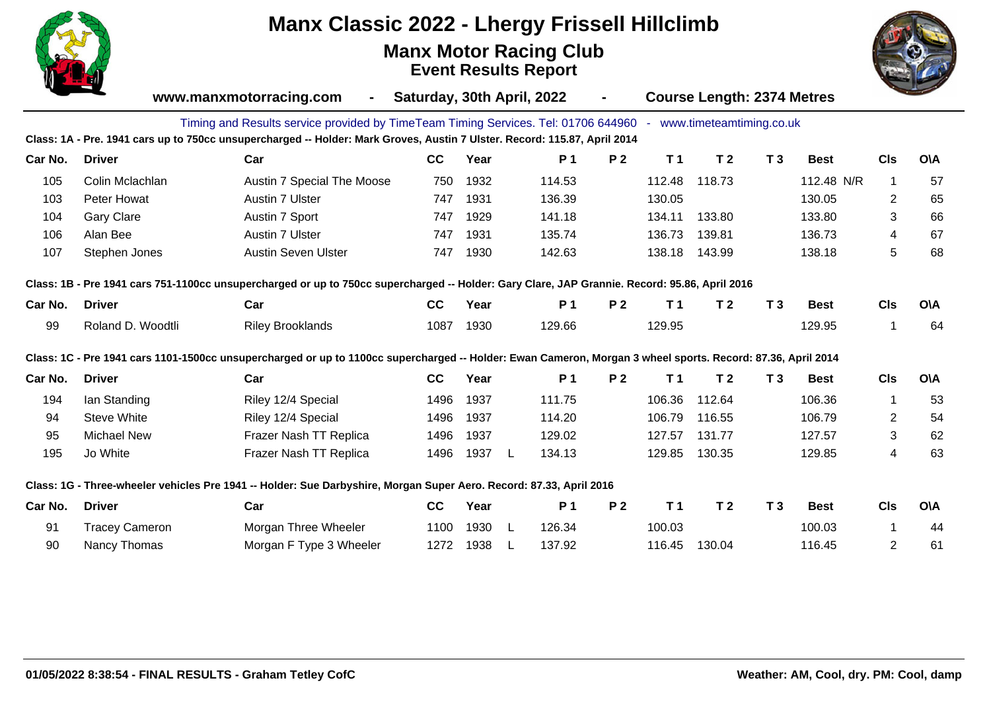

## **Manx Classic 2022 - Lhergy Frissell Hillclimb**

**Manx Motor Racing Club Event Results Report**



|         | www.manxmotorracing.com<br>Saturday, 30th April, 2022<br>$\blacksquare$ |                                                                                                                                                             |      |      |   |        | $\blacksquare$ | <b>Course Length: 2374 Metres</b> |                            |                |             |                |            |
|---------|-------------------------------------------------------------------------|-------------------------------------------------------------------------------------------------------------------------------------------------------------|------|------|---|--------|----------------|-----------------------------------|----------------------------|----------------|-------------|----------------|------------|
|         |                                                                         | Timing and Results service provided by TimeTeam Timing Services. Tel: 01706 644960                                                                          |      |      |   |        |                |                                   | - www.timeteamtiming.co.uk |                |             |                |            |
|         |                                                                         | Class: 1A - Pre. 1941 cars up to 750cc unsupercharged -- Holder: Mark Groves, Austin 7 Ulster. Record: 115.87, April 2014                                   |      |      |   |        |                |                                   |                            |                |             |                |            |
| Car No. | <b>Driver</b>                                                           | Car                                                                                                                                                         | cc   | Year |   | P 1    | P <sub>2</sub> | T <sub>1</sub>                    | T <sub>2</sub>             | T <sub>3</sub> | <b>Best</b> | <b>CIs</b>     | <b>O\A</b> |
| 105     | Colin Mclachlan                                                         | Austin 7 Special The Moose                                                                                                                                  | 750  | 1932 |   | 114.53 |                | 112.48                            | 118.73                     |                | 112.48 N/R  | $\mathbf{1}$   | 57         |
| 103     | Peter Howat                                                             | Austin 7 Ulster                                                                                                                                             | 747  | 1931 |   | 136.39 |                | 130.05                            |                            |                | 130.05      | $\overline{2}$ | 65         |
| 104     | <b>Gary Clare</b>                                                       | Austin 7 Sport                                                                                                                                              | 747  | 1929 |   | 141.18 |                | 134.11                            | 133.80                     |                | 133.80      | 3              | 66         |
| 106     | Alan Bee                                                                | Austin 7 Ulster                                                                                                                                             | 747  | 1931 |   | 135.74 |                | 136.73                            | 139.81                     |                | 136.73      | 4              | 67         |
| 107     | Stephen Jones                                                           | Austin Seven Ulster                                                                                                                                         | 747  | 1930 |   | 142.63 |                | 138.18                            | 143.99                     |                | 138.18      | 5              | 68         |
|         |                                                                         | Class: 1B - Pre 1941 cars 751-1100cc unsupercharged or up to 750cc supercharged -- Holder: Gary Clare, JAP Grannie. Record: 95.86, April 2016               |      |      |   |        |                |                                   |                            |                |             |                |            |
| Car No. | <b>Driver</b>                                                           | Car                                                                                                                                                         | cc   | Year |   | P 1    | <b>P2</b>      | T <sub>1</sub>                    | T <sub>2</sub>             | T <sub>3</sub> | <b>Best</b> | <b>CIs</b>     | <b>O\A</b> |
| 99      | Roland D. Woodtli                                                       | <b>Riley Brooklands</b>                                                                                                                                     | 1087 | 1930 |   | 129.66 |                | 129.95                            |                            |                | 129.95      | 1              | 64         |
|         |                                                                         | Class: 1C - Pre 1941 cars 1101-1500cc unsupercharged or up to 1100cc supercharged -- Holder: Ewan Cameron, Morgan 3 wheel sports. Record: 87.36, April 2014 |      |      |   |        |                |                                   |                            |                |             |                |            |
| Car No. | <b>Driver</b>                                                           | Car                                                                                                                                                         | cc   | Year |   | P 1    | P <sub>2</sub> | T <sub>1</sub>                    | T <sub>2</sub>             | T <sub>3</sub> | <b>Best</b> | <b>CIs</b>     | <b>O\A</b> |
| 194     | lan Standing                                                            | Riley 12/4 Special                                                                                                                                          | 1496 | 1937 |   | 111.75 |                | 106.36                            | 112.64                     |                | 106.36      | 1              | 53         |
| 94      | Steve White                                                             | Riley 12/4 Special                                                                                                                                          | 1496 | 1937 |   | 114.20 |                | 106.79                            | 116.55                     |                | 106.79      | 2              | 54         |
| 95      | <b>Michael New</b>                                                      | Frazer Nash TT Replica                                                                                                                                      | 1496 | 1937 |   | 129.02 |                | 127.57                            | 131.77                     |                | 127.57      | 3              | 62         |
| 195     | Jo White                                                                | Frazer Nash TT Replica                                                                                                                                      | 1496 | 1937 | L | 134.13 |                | 129.85                            | 130.35                     |                | 129.85      | 4              | 63         |
|         |                                                                         | Class: 1G - Three-wheeler vehicles Pre 1941 -- Holder: Sue Darbyshire, Morgan Super Aero. Record: 87.33, April 2016                                         |      |      |   |        |                |                                   |                            |                |             |                |            |
| Car No. | <b>Driver</b>                                                           | Car                                                                                                                                                         | cc   | Year |   | P 1    | <b>P2</b>      | T <sub>1</sub>                    | T <sub>2</sub>             | T <sub>3</sub> | <b>Best</b> | <b>CIs</b>     | <b>O\A</b> |
| 91      | <b>Tracey Cameron</b>                                                   | Morgan Three Wheeler                                                                                                                                        | 1100 | 1930 | L | 126.34 |                | 100.03                            |                            |                | 100.03      | $\mathbf 1$    | 44         |
| 90      | Nancy Thomas                                                            | Morgan F Type 3 Wheeler                                                                                                                                     | 1272 | 1938 |   | 137.92 |                | 116.45                            | 130.04                     |                | 116.45      | $\overline{2}$ | 61         |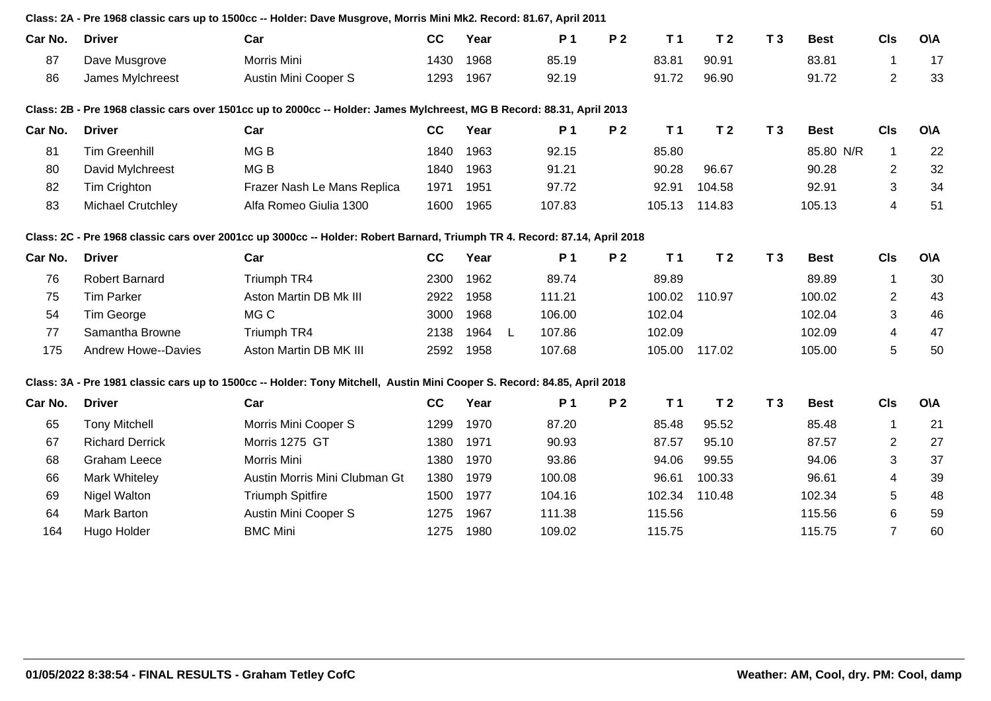|         |                            | Class: 2A - Pre 1968 classic cars up to 1500cc -- Holder: Dave Musgrove, Morris Mini Mk2. Record: 81.67, April 2011        |      |      |   |                |                |                |                |                |             |                |            |
|---------|----------------------------|----------------------------------------------------------------------------------------------------------------------------|------|------|---|----------------|----------------|----------------|----------------|----------------|-------------|----------------|------------|
| Car No. | <b>Driver</b>              | Car                                                                                                                        | cc   | Year |   | P <sub>1</sub> | P <sub>2</sub> | T <sub>1</sub> | T <sub>2</sub> | T <sub>3</sub> | <b>Best</b> | <b>CIs</b>     | <b>O\A</b> |
| 87      | Dave Musgrove              | Morris Mini                                                                                                                | 1430 | 1968 |   | 85.19          |                | 83.81          | 90.91          |                | 83.81       | $\mathbf{1}$   | 17         |
| 86      | James Mylchreest           | Austin Mini Cooper S                                                                                                       | 1293 | 1967 |   | 92.19          |                | 91.72          | 96.90          |                | 91.72       | $\overline{2}$ | 33         |
|         |                            | Class: 2B - Pre 1968 classic cars over 1501cc up to 2000cc -- Holder: James Mylchreest, MG B Record: 88.31, April 2013     |      |      |   |                |                |                |                |                |             |                |            |
| Car No. | <b>Driver</b>              | Car                                                                                                                        | cc   | Year |   | P 1            | P <sub>2</sub> | T <sub>1</sub> | T <sub>2</sub> | T <sub>3</sub> | <b>Best</b> | <b>CIs</b>     | <b>OVA</b> |
| 81      | <b>Tim Greenhill</b>       | MG <sub>B</sub>                                                                                                            | 1840 | 1963 |   | 92.15          |                | 85.80          |                |                | 85.80 N/R   | $\mathbf{1}$   | 22         |
| 80      | David Mylchreest           | MG <sub>B</sub>                                                                                                            | 1840 | 1963 |   | 91.21          |                | 90.28          | 96.67          |                | 90.28       | $\overline{2}$ | 32         |
| 82      | Tim Crighton               | Frazer Nash Le Mans Replica                                                                                                | 1971 | 1951 |   | 97.72          |                | 92.91          | 104.58         |                | 92.91       | 3              | 34         |
| 83      | <b>Michael Crutchley</b>   | Alfa Romeo Giulia 1300                                                                                                     | 1600 | 1965 |   | 107.83         |                | 105.13         | 114.83         |                | 105.13      | $\overline{4}$ | 51         |
|         |                            | Class: 2C - Pre 1968 classic cars over 2001cc up 3000cc -- Holder: Robert Barnard, Triumph TR 4. Record: 87.14, April 2018 |      |      |   |                |                |                |                |                |             |                |            |
| Car No. | <b>Driver</b>              | Car                                                                                                                        | cc   | Year |   | P 1            | <b>P2</b>      | T <sub>1</sub> | T <sub>2</sub> | T <sub>3</sub> | <b>Best</b> | <b>CIs</b>     | <b>OVA</b> |
| 76      | <b>Robert Barnard</b>      | Triumph TR4                                                                                                                | 2300 | 1962 |   | 89.74          |                | 89.89          |                |                | 89.89       | $\mathbf{1}$   | 30         |
| 75      | <b>Tim Parker</b>          | Aston Martin DB Mk III                                                                                                     | 2922 | 1958 |   | 111.21         |                | 100.02         | 110.97         |                | 100.02      | $\overline{c}$ | 43         |
| 54      | Tim George                 | MG C                                                                                                                       | 3000 | 1968 |   | 106.00         |                | 102.04         |                |                | 102.04      | 3              | 46         |
| 77      | Samantha Browne            | Triumph TR4                                                                                                                | 2138 | 1964 | L | 107.86         |                | 102.09         |                |                | 102.09      | $\overline{4}$ | 47         |
| 175     | <b>Andrew Howe--Davies</b> | Aston Martin DB MK III                                                                                                     | 2592 | 1958 |   | 107.68         |                | 105.00         | 117.02         |                | 105.00      | 5              | 50         |
|         |                            | Class: 3A - Pre 1981 classic cars up to 1500cc -- Holder: Tony Mitchell, Austin Mini Cooper S. Record: 84.85, April 2018   |      |      |   |                |                |                |                |                |             |                |            |
| Car No. | <b>Driver</b>              | Car                                                                                                                        | cc   | Year |   | P 1            | P <sub>2</sub> | T <sub>1</sub> | T <sub>2</sub> | T <sub>3</sub> | <b>Best</b> | <b>CIs</b>     | <b>OVA</b> |
| 65      | <b>Tony Mitchell</b>       | Morris Mini Cooper S                                                                                                       | 1299 | 1970 |   | 87.20          |                | 85.48          | 95.52          |                | 85.48       | $\mathbf{1}$   | 21         |
| 67      | <b>Richard Derrick</b>     | Morris 1275 GT                                                                                                             | 1380 | 1971 |   | 90.93          |                | 87.57          | 95.10          |                | 87.57       | $\overline{2}$ | 27         |
| 68      | <b>Graham Leece</b>        | Morris Mini                                                                                                                | 1380 | 1970 |   | 93.86          |                | 94.06          | 99.55          |                | 94.06       | 3              | 37         |
| 66      | Mark Whiteley              | Austin Morris Mini Clubman Gt                                                                                              | 1380 | 1979 |   | 100.08         |                | 96.61          | 100.33         |                | 96.61       | 4              | 39         |
| 69      | <b>Nigel Walton</b>        | <b>Triumph Spitfire</b>                                                                                                    | 1500 | 1977 |   | 104.16         |                | 102.34         | 110.48         |                | 102.34      | 5              | 48         |
| 64      | Mark Barton                | Austin Mini Cooper S                                                                                                       | 1275 | 1967 |   | 111.38         |                | 115.56         |                |                | 115.56      | 6              | 59         |
| 164     | Hugo Holder                | <b>BMC Mini</b>                                                                                                            | 1275 | 1980 |   | 109.02         |                | 115.75         |                |                | 115.75      | $\overline{7}$ | 60         |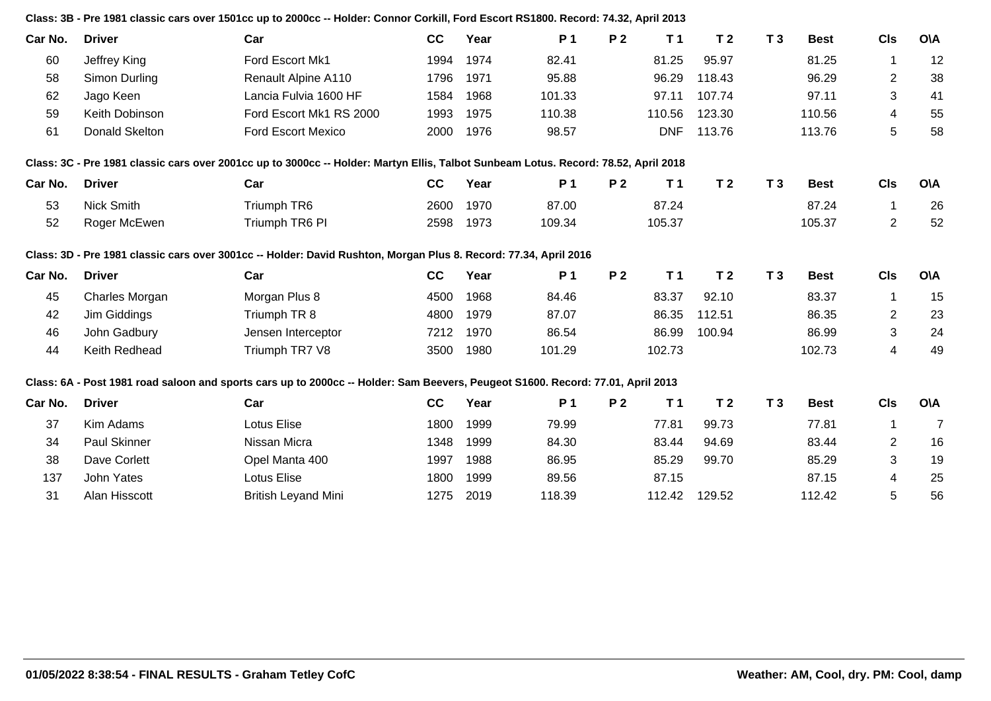|         |                     | Class: 3B - Pre 1981 classic cars over 1501cc up to 2000cc -- Holder: Connor Corkill, Ford Escort RS1800. Record: 74.32, April 2013 |      |      |           |                |                |                |                |             |                |                |
|---------|---------------------|-------------------------------------------------------------------------------------------------------------------------------------|------|------|-----------|----------------|----------------|----------------|----------------|-------------|----------------|----------------|
| Car No. | <b>Driver</b>       | Car                                                                                                                                 | cc   | Year | <b>P1</b> | P <sub>2</sub> | T <sub>1</sub> | T <sub>2</sub> | T <sub>3</sub> | <b>Best</b> | <b>CIs</b>     | <b>O\A</b>     |
| 60      | Jeffrey King        | Ford Escort Mk1                                                                                                                     | 1994 | 1974 | 82.41     |                | 81.25          | 95.97          |                | 81.25       | $\mathbf{1}$   | 12             |
| 58      | Simon Durling       | Renault Alpine A110                                                                                                                 | 1796 | 1971 | 95.88     |                | 96.29          | 118.43         |                | 96.29       | 2              | 38             |
| 62      | Jago Keen           | Lancia Fulvia 1600 HF                                                                                                               | 1584 | 1968 | 101.33    |                | 97.11          | 107.74         |                | 97.11       | 3              | 41             |
| 59      | Keith Dobinson      | Ford Escort Mk1 RS 2000                                                                                                             | 1993 | 1975 | 110.38    |                | 110.56         | 123.30         |                | 110.56      | 4              | 55             |
| 61      | Donald Skelton      | <b>Ford Escort Mexico</b>                                                                                                           | 2000 | 1976 | 98.57     |                | <b>DNF</b>     | 113.76         |                | 113.76      | 5              | 58             |
|         |                     | Class: 3C - Pre 1981 classic cars over 2001cc up to 3000cc -- Holder: Martyn Ellis, Talbot Sunbeam Lotus. Record: 78.52, April 2018 |      |      |           |                |                |                |                |             |                |                |
| Car No. | <b>Driver</b>       | Car                                                                                                                                 | cc   | Year | P 1       | <b>P2</b>      | T <sub>1</sub> | T <sub>2</sub> | T <sub>3</sub> | <b>Best</b> | <b>CIs</b>     | <b>O\A</b>     |
| 53      | <b>Nick Smith</b>   | Triumph TR6                                                                                                                         | 2600 | 1970 | 87.00     |                | 87.24          |                |                | 87.24       | $\mathbf{1}$   | 26             |
| 52      | Roger McEwen        | Triumph TR6 PI                                                                                                                      | 2598 | 1973 | 109.34    |                | 105.37         |                |                | 105.37      | $\overline{2}$ | 52             |
|         |                     | Class: 3D - Pre 1981 classic cars over 3001cc -- Holder: David Rushton, Morgan Plus 8. Record: 77.34, April 2016                    |      |      |           |                |                |                |                |             |                |                |
| Car No. | <b>Driver</b>       | Car                                                                                                                                 | cc   | Year | <b>P1</b> | P <sub>2</sub> | T <sub>1</sub> | T <sub>2</sub> | T <sub>3</sub> | <b>Best</b> | <b>CIs</b>     | <b>O\A</b>     |
| 45      | Charles Morgan      | Morgan Plus 8                                                                                                                       | 4500 | 1968 | 84.46     |                | 83.37          | 92.10          |                | 83.37       | $\mathbf{1}$   | 15             |
| 42      | Jim Giddings        | Triumph TR 8                                                                                                                        | 4800 | 1979 | 87.07     |                | 86.35          | 112.51         |                | 86.35       | $\overline{2}$ | 23             |
| 46      | John Gadbury        | Jensen Interceptor                                                                                                                  | 7212 | 1970 | 86.54     |                | 86.99          | 100.94         |                | 86.99       | $\mathbf{3}$   | 24             |
| 44      | Keith Redhead       | Triumph TR7 V8                                                                                                                      | 3500 | 1980 | 101.29    |                | 102.73         |                |                | 102.73      | $\overline{4}$ | 49             |
|         |                     | Class: 6A - Post 1981 road saloon and sports cars up to 2000cc -- Holder: Sam Beevers, Peugeot S1600. Record: 77.01, April 2013     |      |      |           |                |                |                |                |             |                |                |
| Car No. | <b>Driver</b>       | Car                                                                                                                                 | cc   | Year | <b>P1</b> | P <sub>2</sub> | T <sub>1</sub> | T <sub>2</sub> | T <sub>3</sub> | <b>Best</b> | <b>CIs</b>     | <b>O\A</b>     |
| 37      | Kim Adams           | <b>Lotus Elise</b>                                                                                                                  | 1800 | 1999 | 79.99     |                | 77.81          | 99.73          |                | 77.81       | $\mathbf{1}$   | $\overline{7}$ |
| 34      | <b>Paul Skinner</b> | Nissan Micra                                                                                                                        | 1348 | 1999 | 84.30     |                | 83.44          | 94.69          |                | 83.44       | $\overline{2}$ | 16             |
| 38      | Dave Corlett        | Opel Manta 400                                                                                                                      | 1997 | 1988 | 86.95     |                | 85.29          | 99.70          |                | 85.29       | 3              | 19             |
| 137     | John Yates          | <b>Lotus Elise</b>                                                                                                                  | 1800 | 1999 | 89.56     |                | 87.15          |                |                | 87.15       | 4              | 25             |
| 31      | Alan Hisscott       | <b>British Leyand Mini</b>                                                                                                          | 1275 | 2019 | 118.39    |                | 112.42         | 129.52         |                | 112.42      | 5              | 56             |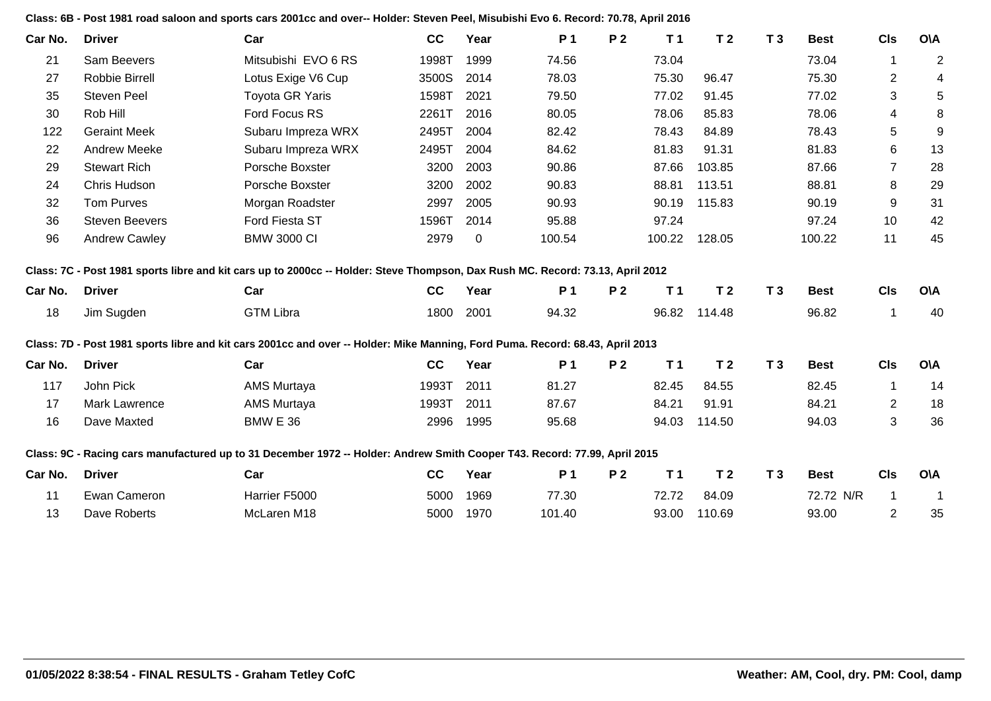| Car No. | <b>Driver</b>         | Car                                                                                                                            | cc    | Year        | P 1    | P <sub>2</sub> | T <sub>1</sub> | T <sub>2</sub> | T <sub>3</sub> | <b>Best</b> | <b>CIs</b>       | <b>OVA</b>               |
|---------|-----------------------|--------------------------------------------------------------------------------------------------------------------------------|-------|-------------|--------|----------------|----------------|----------------|----------------|-------------|------------------|--------------------------|
| 21      | Sam Beevers           | Mitsubishi EVO 6 RS                                                                                                            | 1998T | 1999        | 74.56  |                | 73.04          |                |                | 73.04       | $\mathbf{1}$     | $\overline{c}$           |
| 27      | Robbie Birrell        | Lotus Exige V6 Cup                                                                                                             | 3500S | 2014        | 78.03  |                | 75.30          | 96.47          |                | 75.30       | $\boldsymbol{2}$ | $\overline{\mathcal{A}}$ |
| 35      | <b>Steven Peel</b>    | <b>Toyota GR Yaris</b>                                                                                                         | 1598T | 2021        | 79.50  |                | 77.02          | 91.45          |                | 77.02       | 3                | 5                        |
| 30      | Rob Hill              | Ford Focus RS                                                                                                                  | 2261T | 2016        | 80.05  |                | 78.06          | 85.83          |                | 78.06       | 4                | 8                        |
| 122     | <b>Geraint Meek</b>   | Subaru Impreza WRX                                                                                                             | 2495T | 2004        | 82.42  |                | 78.43          | 84.89          |                | 78.43       | 5                | $\boldsymbol{9}$         |
| 22      | <b>Andrew Meeke</b>   | Subaru Impreza WRX                                                                                                             | 2495T | 2004        | 84.62  |                | 81.83          | 91.31          |                | 81.83       | 6                | 13                       |
| 29      | <b>Stewart Rich</b>   | Porsche Boxster                                                                                                                | 3200  | 2003        | 90.86  |                | 87.66          | 103.85         |                | 87.66       | $\overline{7}$   | 28                       |
| 24      | Chris Hudson          | Porsche Boxster                                                                                                                | 3200  | 2002        | 90.83  |                | 88.81          | 113.51         |                | 88.81       | 8                | 29                       |
| 32      | <b>Tom Purves</b>     | Morgan Roadster                                                                                                                | 2997  | 2005        | 90.93  |                | 90.19          | 115.83         |                | 90.19       | 9                | 31                       |
| 36      | <b>Steven Beevers</b> | Ford Fiesta ST                                                                                                                 | 1596T | 2014        | 95.88  |                | 97.24          |                |                | 97.24       | 10               | 42                       |
| 96      | <b>Andrew Cawley</b>  | <b>BMW 3000 CI</b>                                                                                                             | 2979  | $\mathbf 0$ | 100.54 |                | 100.22         | 128.05         |                | 100.22      | 11               | 45                       |
|         |                       | Class: 7C - Post 1981 sports libre and kit cars up to 2000cc -- Holder: Steve Thompson, Dax Rush MC. Record: 73.13, April 2012 |       |             |        |                |                |                |                |             |                  |                          |
| Car No. | <b>Driver</b>         | Car                                                                                                                            | cc    | Year        | P 1    | P <sub>2</sub> | T <sub>1</sub> | T <sub>2</sub> | T <sub>3</sub> | <b>Best</b> | <b>CIs</b>       | <b>OVA</b>               |
| 18      | Jim Sugden            | <b>GTM Libra</b>                                                                                                               | 1800  | 2001        | 94.32  |                | 96.82          | 114.48         |                | 96.82       | 1                | 40                       |
|         |                       | Class: 7D - Post 1981 sports libre and kit cars 2001cc and over -- Holder: Mike Manning, Ford Puma. Record: 68.43, April 2013  |       |             |        |                |                |                |                |             |                  |                          |
| Car No. | <b>Driver</b>         | Car                                                                                                                            | cc    | Year        | P 1    | <b>P2</b>      | T <sub>1</sub> | T <sub>2</sub> | T <sub>3</sub> | <b>Best</b> | <b>CIs</b>       | <b>O\A</b>               |
| 117     | John Pick             | AMS Murtaya                                                                                                                    | 1993T | 2011        | 81.27  |                | 82.45          | 84.55          |                | 82.45       | $\mathbf 1$      | 14                       |
| 17      | <b>Mark Lawrence</b>  | AMS Murtaya                                                                                                                    | 1993T | 2011        | 87.67  |                | 84.21          | 91.91          |                | 84.21       | $\overline{2}$   | 18                       |
| 16      | Dave Maxted           | <b>BMW E 36</b>                                                                                                                | 2996  | 1995        | 95.68  |                | 94.03          | 114.50         |                | 94.03       | 3                | 36                       |
|         |                       | Class: 9C - Racing cars manufactured up to 31 December 1972 -- Holder: Andrew Smith Cooper T43. Record: 77.99, April 2015      |       |             |        |                |                |                |                |             |                  |                          |
| Car No. | <b>Driver</b>         | Car                                                                                                                            | cc    | Year        | P 1    | P <sub>2</sub> | T <sub>1</sub> | T <sub>2</sub> | T <sub>3</sub> | <b>Best</b> | <b>CIs</b>       | <b>OVA</b>               |
| 11      | Ewan Cameron          | Harrier F5000                                                                                                                  | 5000  | 1969        | 77.30  |                | 72.72          | 84.09          |                | 72.72 N/R   | $\mathbf{1}$     | $\overline{1}$           |
| 13      | Dave Roberts          | McLaren M18                                                                                                                    | 5000  | 1970        | 101.40 |                | 93.00          | 110.69         |                | 93.00       | $\overline{2}$   | 35                       |

**Class: 6B - Post 1981 road saloon and sports cars 2001cc and over-- Holder: Steven Peel, Misubishi Evo 6. Record: 70.78, April 2016**